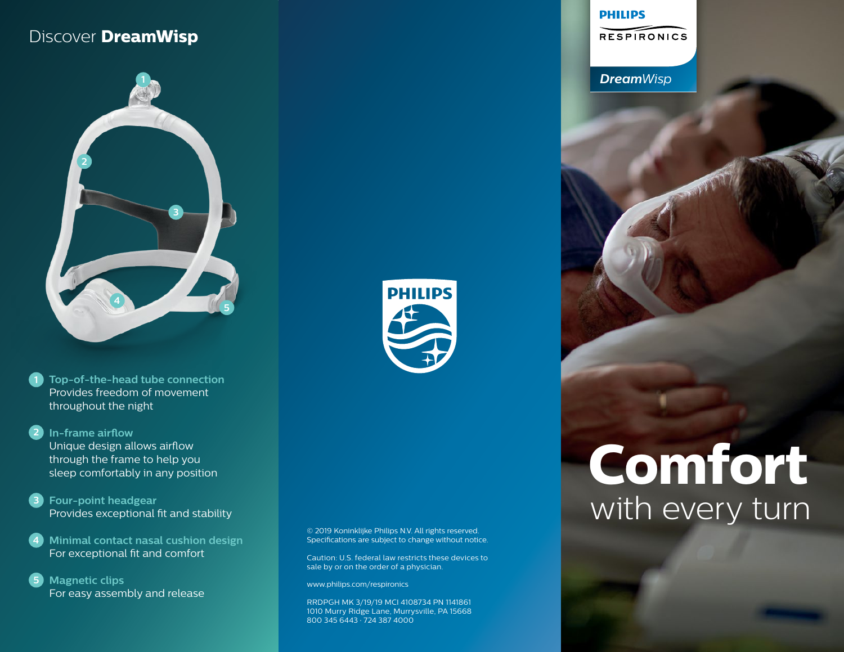## Discover **DreamWisp**



**1 Top-of-the-head tube connection**  Provides freedom of movement throughout the night

**2 In-frame airflow**  Unique design allows airflow through the frame to help you sleep comfortably in any position

**3 Four-point headgear**  Provides exceptional fit and stability

**4 Minimal contact nasal cushion design** For exceptional fit and comfort

**5 Magnetic clips**  For easy assembly and release



© 2019 Koninklijke Philips N.V. All rights reserved. Specifications are subject to change without notice.

Caution: U.S. federal law restricts these devices to sale by or on the order of a physician.

www.philips.com/respironics

RRDPGH MK 3/19/19 MCI 4108734 PN 1141861 1010 Murry Ridge Lane, Murrysville, PA 15668 800 345 6443 · 724 387 4000

#### **PHILIPS**

**RESPIRONICS** 

*DreamWisp*

# **Comfort** with every turn